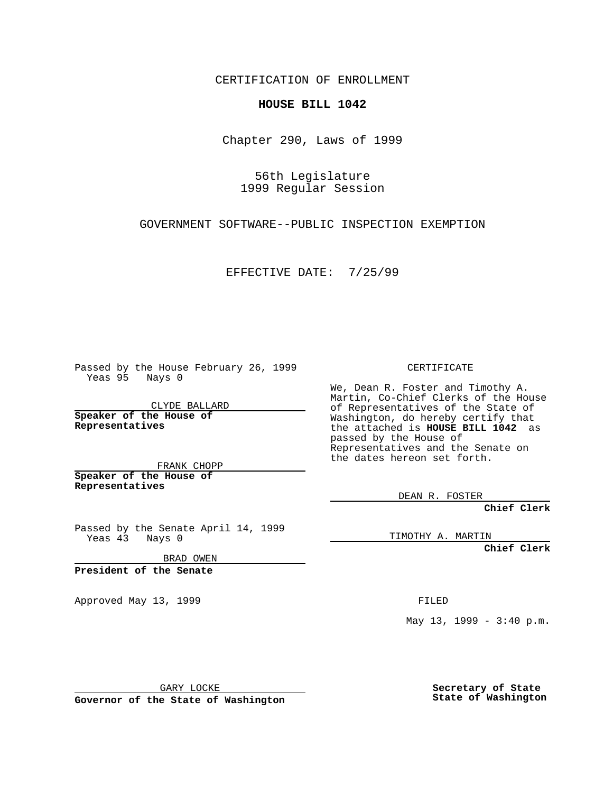CERTIFICATION OF ENROLLMENT

## **HOUSE BILL 1042**

Chapter 290, Laws of 1999

56th Legislature 1999 Regular Session

GOVERNMENT SOFTWARE--PUBLIC INSPECTION EXEMPTION

EFFECTIVE DATE: 7/25/99

Passed by the House February 26, 1999 Yeas 95 Nays 0

CLYDE BALLARD **Speaker of the House of Representatives**

FRANK CHOPP **Speaker of the House of Representatives**

Passed by the Senate April 14, 1999 Yeas 43 Nays 0

BRAD OWEN

**President of the Senate**

Approved May 13, 1999 **FILED** 

CERTIFICATE

We, Dean R. Foster and Timothy A. Martin, Co-Chief Clerks of the House of Representatives of the State of Washington, do hereby certify that the attached is **HOUSE BILL 1042** as passed by the House of Representatives and the Senate on the dates hereon set forth.

DEAN R. FOSTER

**Chief Clerk**

TIMOTHY A. MARTIN

**Chief Clerk**

May 13, 1999 - 3:40 p.m.

GARY LOCKE

**Governor of the State of Washington**

**Secretary of State State of Washington**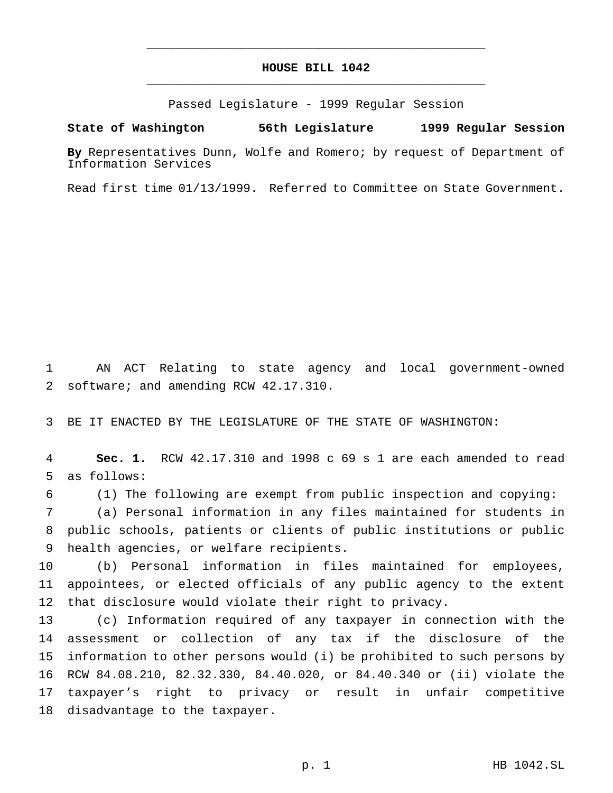## **HOUSE BILL 1042** \_\_\_\_\_\_\_\_\_\_\_\_\_\_\_\_\_\_\_\_\_\_\_\_\_\_\_\_\_\_\_\_\_\_\_\_\_\_\_\_\_\_\_\_\_\_\_

\_\_\_\_\_\_\_\_\_\_\_\_\_\_\_\_\_\_\_\_\_\_\_\_\_\_\_\_\_\_\_\_\_\_\_\_\_\_\_\_\_\_\_\_\_\_\_

Passed Legislature - 1999 Regular Session

## **State of Washington 56th Legislature 1999 Regular Session**

**By** Representatives Dunn, Wolfe and Romero; by request of Department of Information Services

Read first time 01/13/1999. Referred to Committee on State Government.

 AN ACT Relating to state agency and local government-owned software; and amending RCW 42.17.310.

BE IT ENACTED BY THE LEGISLATURE OF THE STATE OF WASHINGTON:

 **Sec. 1.** RCW 42.17.310 and 1998 c 69 s 1 are each amended to read as follows:

(1) The following are exempt from public inspection and copying:

 (a) Personal information in any files maintained for students in public schools, patients or clients of public institutions or public health agencies, or welfare recipients.

 (b) Personal information in files maintained for employees, appointees, or elected officials of any public agency to the extent that disclosure would violate their right to privacy.

 (c) Information required of any taxpayer in connection with the assessment or collection of any tax if the disclosure of the information to other persons would (i) be prohibited to such persons by RCW 84.08.210, 82.32.330, 84.40.020, or 84.40.340 or (ii) violate the taxpayer's right to privacy or result in unfair competitive disadvantage to the taxpayer.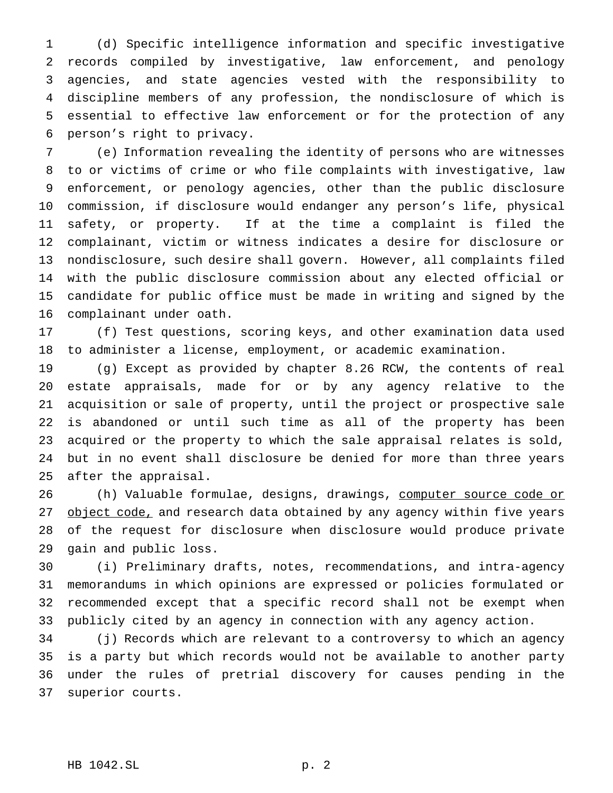(d) Specific intelligence information and specific investigative records compiled by investigative, law enforcement, and penology agencies, and state agencies vested with the responsibility to discipline members of any profession, the nondisclosure of which is essential to effective law enforcement or for the protection of any person's right to privacy.

 (e) Information revealing the identity of persons who are witnesses to or victims of crime or who file complaints with investigative, law enforcement, or penology agencies, other than the public disclosure commission, if disclosure would endanger any person's life, physical safety, or property. If at the time a complaint is filed the complainant, victim or witness indicates a desire for disclosure or nondisclosure, such desire shall govern. However, all complaints filed with the public disclosure commission about any elected official or candidate for public office must be made in writing and signed by the complainant under oath.

 (f) Test questions, scoring keys, and other examination data used to administer a license, employment, or academic examination.

 (g) Except as provided by chapter 8.26 RCW, the contents of real estate appraisals, made for or by any agency relative to the acquisition or sale of property, until the project or prospective sale is abandoned or until such time as all of the property has been acquired or the property to which the sale appraisal relates is sold, but in no event shall disclosure be denied for more than three years after the appraisal.

26 (h) Valuable formulae, designs, drawings, computer source code or 27 object code, and research data obtained by any agency within five years of the request for disclosure when disclosure would produce private gain and public loss.

 (i) Preliminary drafts, notes, recommendations, and intra-agency memorandums in which opinions are expressed or policies formulated or recommended except that a specific record shall not be exempt when publicly cited by an agency in connection with any agency action.

 (j) Records which are relevant to a controversy to which an agency is a party but which records would not be available to another party under the rules of pretrial discovery for causes pending in the superior courts.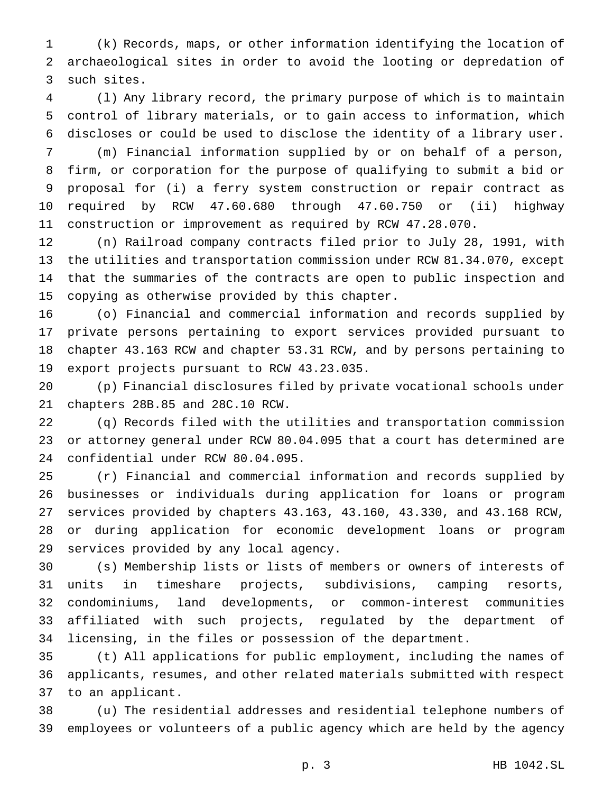(k) Records, maps, or other information identifying the location of archaeological sites in order to avoid the looting or depredation of such sites.

 (l) Any library record, the primary purpose of which is to maintain control of library materials, or to gain access to information, which discloses or could be used to disclose the identity of a library user.

 (m) Financial information supplied by or on behalf of a person, firm, or corporation for the purpose of qualifying to submit a bid or proposal for (i) a ferry system construction or repair contract as required by RCW 47.60.680 through 47.60.750 or (ii) highway construction or improvement as required by RCW 47.28.070.

 (n) Railroad company contracts filed prior to July 28, 1991, with the utilities and transportation commission under RCW 81.34.070, except that the summaries of the contracts are open to public inspection and copying as otherwise provided by this chapter.

 (o) Financial and commercial information and records supplied by private persons pertaining to export services provided pursuant to chapter 43.163 RCW and chapter 53.31 RCW, and by persons pertaining to export projects pursuant to RCW 43.23.035.

 (p) Financial disclosures filed by private vocational schools under chapters 28B.85 and 28C.10 RCW.

 (q) Records filed with the utilities and transportation commission or attorney general under RCW 80.04.095 that a court has determined are confidential under RCW 80.04.095.

 (r) Financial and commercial information and records supplied by businesses or individuals during application for loans or program services provided by chapters 43.163, 43.160, 43.330, and 43.168 RCW, or during application for economic development loans or program services provided by any local agency.

 (s) Membership lists or lists of members or owners of interests of units in timeshare projects, subdivisions, camping resorts, condominiums, land developments, or common-interest communities affiliated with such projects, regulated by the department of licensing, in the files or possession of the department.

 (t) All applications for public employment, including the names of applicants, resumes, and other related materials submitted with respect to an applicant.

 (u) The residential addresses and residential telephone numbers of employees or volunteers of a public agency which are held by the agency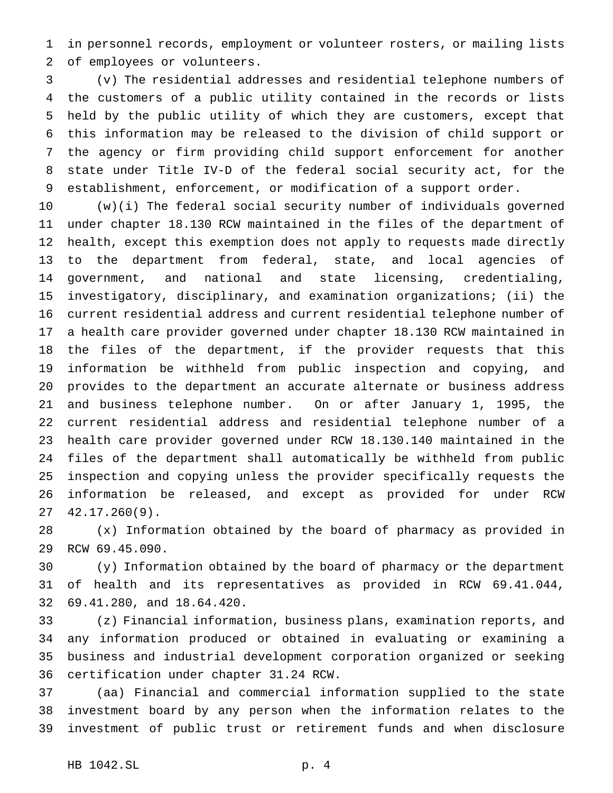in personnel records, employment or volunteer rosters, or mailing lists of employees or volunteers.

 (v) The residential addresses and residential telephone numbers of the customers of a public utility contained in the records or lists held by the public utility of which they are customers, except that this information may be released to the division of child support or the agency or firm providing child support enforcement for another state under Title IV-D of the federal social security act, for the establishment, enforcement, or modification of a support order.

 (w)(i) The federal social security number of individuals governed under chapter 18.130 RCW maintained in the files of the department of health, except this exemption does not apply to requests made directly to the department from federal, state, and local agencies of government, and national and state licensing, credentialing, investigatory, disciplinary, and examination organizations; (ii) the current residential address and current residential telephone number of a health care provider governed under chapter 18.130 RCW maintained in the files of the department, if the provider requests that this information be withheld from public inspection and copying, and provides to the department an accurate alternate or business address and business telephone number. On or after January 1, 1995, the current residential address and residential telephone number of a health care provider governed under RCW 18.130.140 maintained in the files of the department shall automatically be withheld from public inspection and copying unless the provider specifically requests the information be released, and except as provided for under RCW 42.17.260(9).

 (x) Information obtained by the board of pharmacy as provided in RCW 69.45.090.

 (y) Information obtained by the board of pharmacy or the department of health and its representatives as provided in RCW 69.41.044, 69.41.280, and 18.64.420.

 (z) Financial information, business plans, examination reports, and any information produced or obtained in evaluating or examining a business and industrial development corporation organized or seeking certification under chapter 31.24 RCW.

 (aa) Financial and commercial information supplied to the state investment board by any person when the information relates to the investment of public trust or retirement funds and when disclosure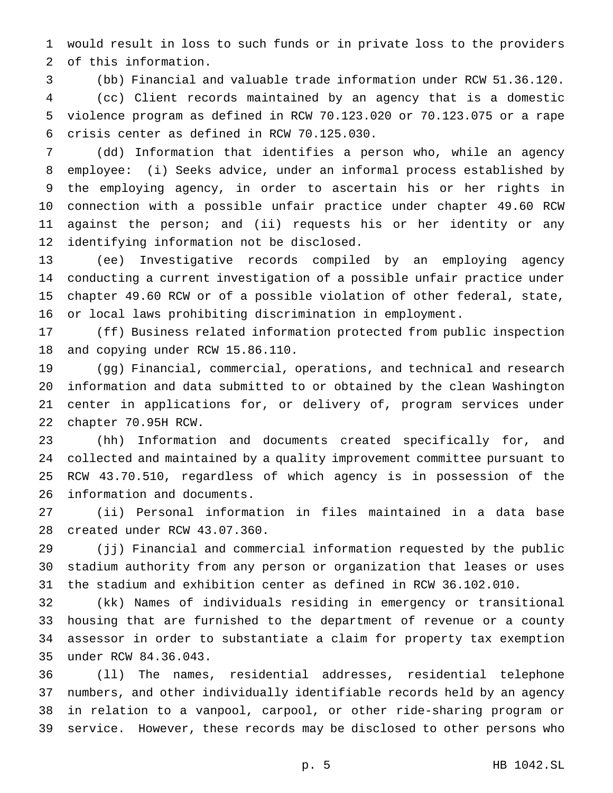would result in loss to such funds or in private loss to the providers of this information.

 (bb) Financial and valuable trade information under RCW 51.36.120. (cc) Client records maintained by an agency that is a domestic violence program as defined in RCW 70.123.020 or 70.123.075 or a rape crisis center as defined in RCW 70.125.030.

 (dd) Information that identifies a person who, while an agency employee: (i) Seeks advice, under an informal process established by the employing agency, in order to ascertain his or her rights in connection with a possible unfair practice under chapter 49.60 RCW against the person; and (ii) requests his or her identity or any identifying information not be disclosed.

 (ee) Investigative records compiled by an employing agency conducting a current investigation of a possible unfair practice under chapter 49.60 RCW or of a possible violation of other federal, state, or local laws prohibiting discrimination in employment.

 (ff) Business related information protected from public inspection and copying under RCW 15.86.110.

 (gg) Financial, commercial, operations, and technical and research information and data submitted to or obtained by the clean Washington center in applications for, or delivery of, program services under chapter 70.95H RCW.

 (hh) Information and documents created specifically for, and collected and maintained by a quality improvement committee pursuant to RCW 43.70.510, regardless of which agency is in possession of the information and documents.

 (ii) Personal information in files maintained in a data base created under RCW 43.07.360.

 (jj) Financial and commercial information requested by the public stadium authority from any person or organization that leases or uses the stadium and exhibition center as defined in RCW 36.102.010.

 (kk) Names of individuals residing in emergency or transitional housing that are furnished to the department of revenue or a county assessor in order to substantiate a claim for property tax exemption under RCW 84.36.043.

 (ll) The names, residential addresses, residential telephone numbers, and other individually identifiable records held by an agency in relation to a vanpool, carpool, or other ride-sharing program or service. However, these records may be disclosed to other persons who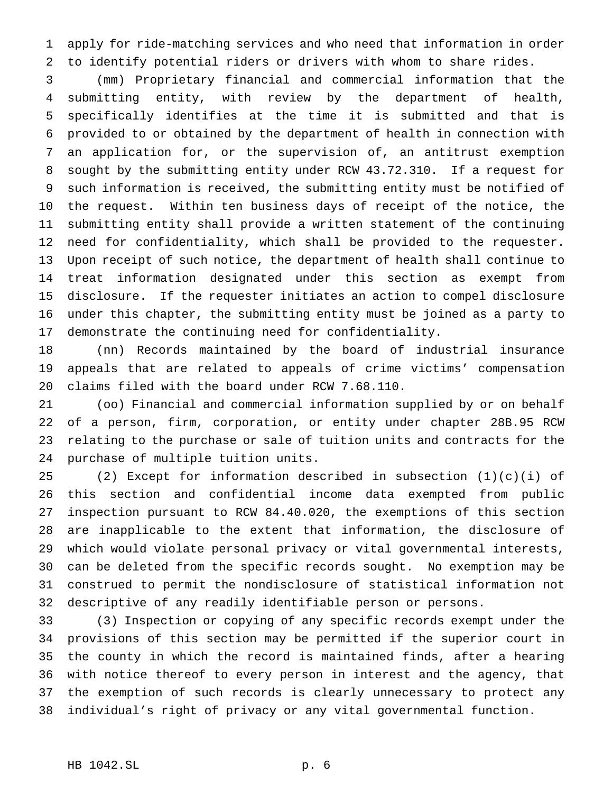apply for ride-matching services and who need that information in order to identify potential riders or drivers with whom to share rides.

 (mm) Proprietary financial and commercial information that the submitting entity, with review by the department of health, specifically identifies at the time it is submitted and that is provided to or obtained by the department of health in connection with an application for, or the supervision of, an antitrust exemption sought by the submitting entity under RCW 43.72.310. If a request for such information is received, the submitting entity must be notified of the request. Within ten business days of receipt of the notice, the submitting entity shall provide a written statement of the continuing need for confidentiality, which shall be provided to the requester. Upon receipt of such notice, the department of health shall continue to treat information designated under this section as exempt from disclosure. If the requester initiates an action to compel disclosure under this chapter, the submitting entity must be joined as a party to demonstrate the continuing need for confidentiality.

 (nn) Records maintained by the board of industrial insurance appeals that are related to appeals of crime victims' compensation claims filed with the board under RCW 7.68.110.

 (oo) Financial and commercial information supplied by or on behalf of a person, firm, corporation, or entity under chapter 28B.95 RCW relating to the purchase or sale of tuition units and contracts for the purchase of multiple tuition units.

 (2) Except for information described in subsection (1)(c)(i) of this section and confidential income data exempted from public inspection pursuant to RCW 84.40.020, the exemptions of this section are inapplicable to the extent that information, the disclosure of which would violate personal privacy or vital governmental interests, can be deleted from the specific records sought. No exemption may be construed to permit the nondisclosure of statistical information not descriptive of any readily identifiable person or persons.

 (3) Inspection or copying of any specific records exempt under the provisions of this section may be permitted if the superior court in the county in which the record is maintained finds, after a hearing with notice thereof to every person in interest and the agency, that the exemption of such records is clearly unnecessary to protect any individual's right of privacy or any vital governmental function.